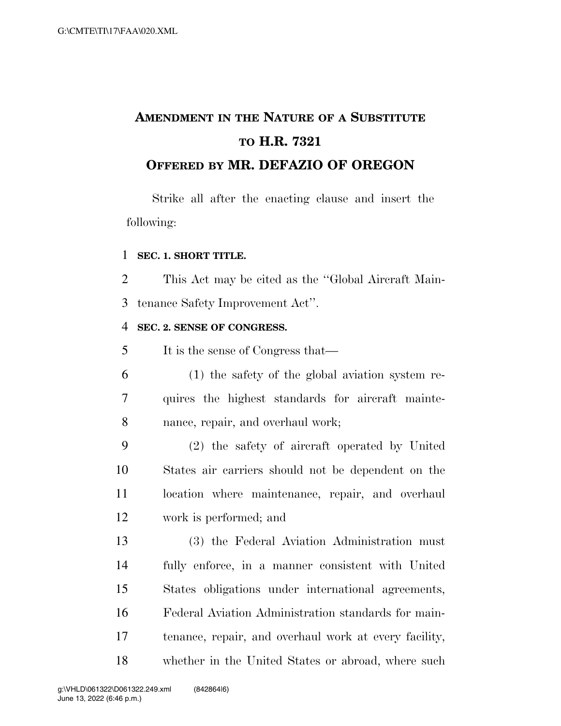# **AMENDMENT IN THE NATURE OF A SUBSTITUTE TO H.R. 7321 OFFERED BY MR. DEFAZIO OF OREGON**

Strike all after the enacting clause and insert the following:

#### **SEC. 1. SHORT TITLE.**

 This Act may be cited as the ''Global Aircraft Main-tenance Safety Improvement Act''.

#### **SEC. 2. SENSE OF CONGRESS.**

It is the sense of Congress that—

 (1) the safety of the global aviation system re- quires the highest standards for aircraft mainte-nance, repair, and overhaul work;

 (2) the safety of aircraft operated by United States air carriers should not be dependent on the 11 location where maintenance, repair, and overhaul work is performed; and

 (3) the Federal Aviation Administration must fully enforce, in a manner consistent with United States obligations under international agreements, Federal Aviation Administration standards for main- tenance, repair, and overhaul work at every facility, whether in the United States or abroad, where such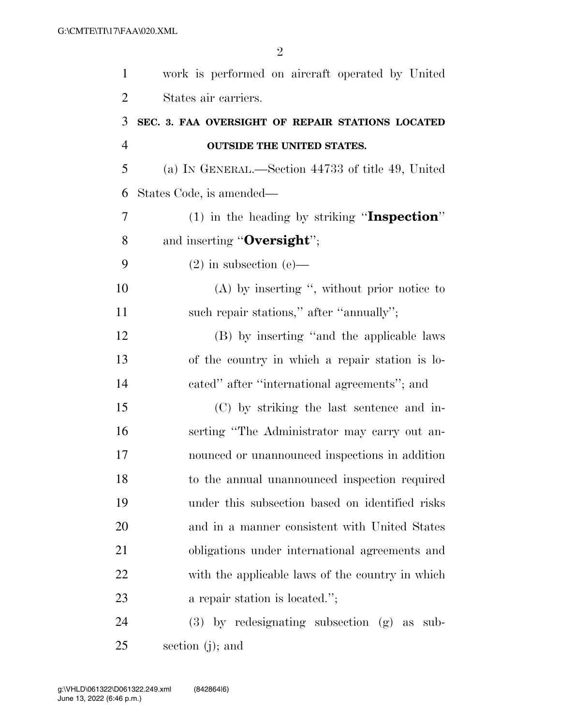| $\mathbf{1}$   | work is performed on aircraft operated by United   |
|----------------|----------------------------------------------------|
| $\overline{2}$ | States air carriers.                               |
| 3              | SEC. 3. FAA OVERSIGHT OF REPAIR STATIONS LOCATED   |
| $\overline{4}$ | <b>OUTSIDE THE UNITED STATES.</b>                  |
| 5              | (a) IN GENERAL.—Section 44733 of title 49, United  |
| 6              | States Code, is amended—                           |
| 7              | $(1)$ in the heading by striking "Inspection"      |
| 8              | and inserting "Oversight";                         |
| 9              | $(2)$ in subsection $(e)$ —                        |
| 10             | $(A)$ by inserting ", without prior notice to      |
| 11             | such repair stations," after "annually";           |
| 12             | (B) by inserting "and the applicable laws          |
| 13             | of the country in which a repair station is lo-    |
| 14             | cated" after "international agreements"; and       |
| 15             | (C) by striking the last sentence and in-          |
| 16             | serting "The Administrator may carry out an-       |
| 17             | nounced or unannounced inspections in addition     |
| 18             | to the annual unannounced inspection required      |
| 19             | under this subsection based on identified risks    |
| 20             | and in a manner consistent with United States      |
| 21             | obligations under international agreements and     |
| 22             | with the applicable laws of the country in which   |
| 23             | a repair station is located.";                     |
| 24             | $(3)$ by redesignating subsection $(g)$ as<br>sub- |

section (j); and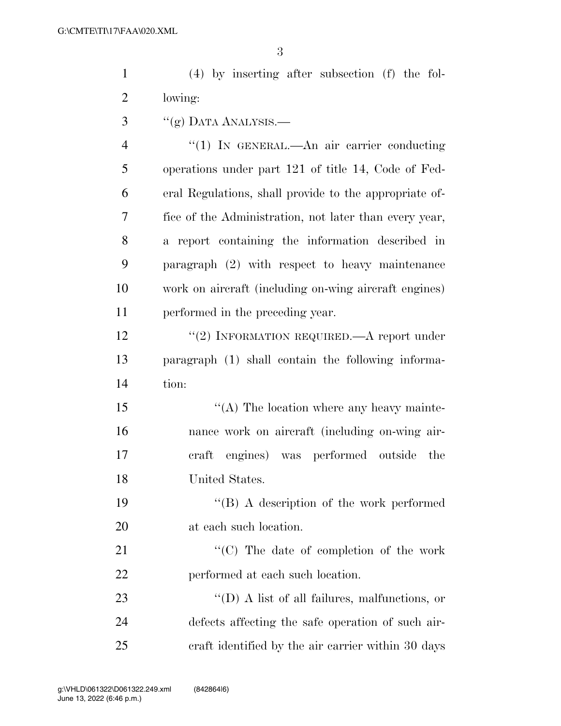(4) by inserting after subsection (f) the fol-lowing:

 $\frac{3}{2}$  ''(g) DATA ANALYSIS.—

4 "(1) In GENERAL.—An air carrier conducting operations under part 121 of title 14, Code of Fed- eral Regulations, shall provide to the appropriate of- fice of the Administration, not later than every year, a report containing the information described in paragraph (2) with respect to heavy maintenance work on aircraft (including on-wing aircraft engines) performed in the preceding year.

12 "(2) INFORMATION REQUIRED.—A report under paragraph (1) shall contain the following informa-tion:

 $\langle (A)$  The location where any heavy mainte- nance work on aircraft (including on-wing air- craft engines) was performed outside the United States.

 ''(B) A description of the work performed at each such location.

21 "'(C) The date of completion of the work performed at each such location.

23  $\bullet$   $\bullet$  (D) A list of all failures, malfunctions, or defects affecting the safe operation of such air-craft identified by the air carrier within 30 days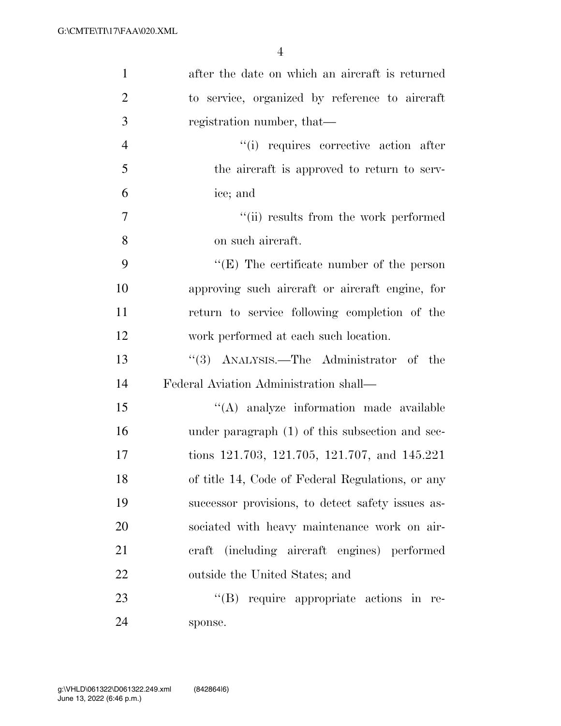| $\mathbf{1}$   | after the date on which an aircraft is returned   |
|----------------|---------------------------------------------------|
| $\overline{2}$ | to service, organized by reference to aircraft    |
| 3              | registration number, that—                        |
| $\overline{4}$ | "(i) requires corrective action after             |
| 5              | the aircraft is approved to return to serv-       |
| 6              | ice; and                                          |
| 7              | "(ii) results from the work performed             |
| 8              | on such aircraft.                                 |
| 9              | "(E) The certificate number of the person         |
| 10             | approving such aircraft or aircraft engine, for   |
| 11             | return to service following completion of the     |
| 12             | work performed at each such location.             |
| 13             | $\cdot$ (3) ANALYSIS.—The Administrator of the    |
| 14             | Federal Aviation Administration shall—            |
| 15             | "(A) analyze information made available           |
| 16             | under paragraph (1) of this subsection and sec-   |
| 17             | tions 121.703, 121.705, 121.707, and 145.221      |
| 18             | of title 14, Code of Federal Regulations, or any  |
| 19             | successor provisions, to detect safety issues as- |
| 20             | sociated with heavy maintenance work on air-      |
| 21             | craft (including aircraft engines) performed      |
| 22             | outside the United States; and                    |
| 23             | $\lq\lq(B)$ require appropriate actions in re-    |
| 24             | sponse.                                           |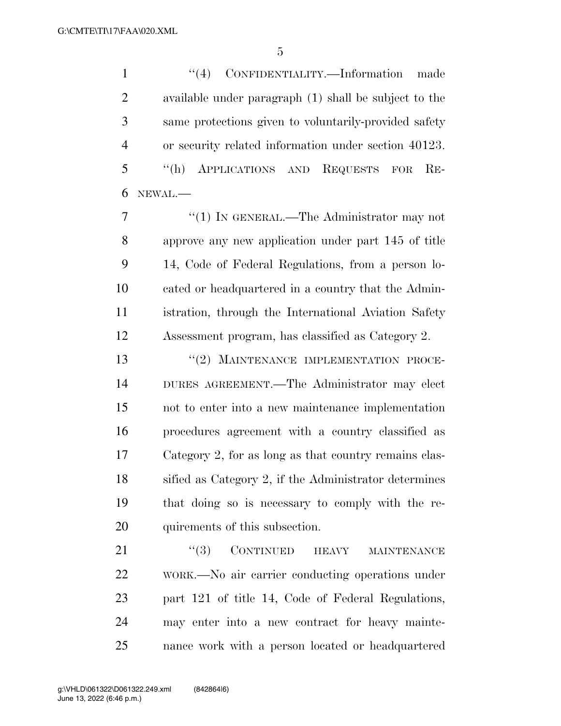''(4) CONFIDENTIALITY.—Information made available under paragraph (1) shall be subject to the same protections given to voluntarily-provided safety or security related information under section 40123. ''(h) APPLICATIONS AND REQUESTS FOR RE-NEWAL.—

7 "(1) IN GENERAL.—The Administrator may not approve any new application under part 145 of title 14, Code of Federal Regulations, from a person lo- cated or headquartered in a country that the Admin- istration, through the International Aviation Safety Assessment program, has classified as Category 2.

13 "(2) MAINTENANCE IMPLEMENTATION PROCE- DURES AGREEMENT.—The Administrator may elect not to enter into a new maintenance implementation procedures agreement with a country classified as Category 2, for as long as that country remains clas- sified as Category 2, if the Administrator determines that doing so is necessary to comply with the re-quirements of this subsection.

21 "(3) CONTINUED HEAVY MAINTENANCE WORK.—No air carrier conducting operations under part 121 of title 14, Code of Federal Regulations, may enter into a new contract for heavy mainte-nance work with a person located or headquartered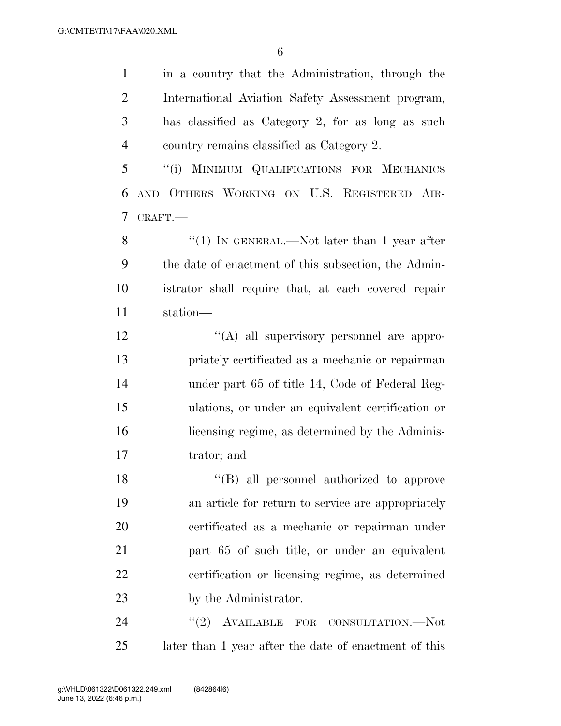in a country that the Administration, through the International Aviation Safety Assessment program, has classified as Category 2, for as long as such country remains classified as Category 2. ''(i) MINIMUM QUALIFICATIONS FOR MECHANICS

 AND OTHERS WORKING ON U.S. REGISTERED AIR-CRAFT.—

8 "(1) IN GENERAL.—Not later than 1 year after the date of enactment of this subsection, the Admin- istrator shall require that, at each covered repair station—

 $\langle (A)$  all supervisory personnel are appro- priately certificated as a mechanic or repairman under part 65 of title 14, Code of Federal Reg- ulations, or under an equivalent certification or licensing regime, as determined by the Adminis-trator; and

 ''(B) all personnel authorized to approve an article for return to service are appropriately certificated as a mechanic or repairman under part 65 of such title, or under an equivalent certification or licensing regime, as determined 23 by the Administrator.

24 "(2) AVAILABLE FOR CONSULTATION.—Not later than 1 year after the date of enactment of this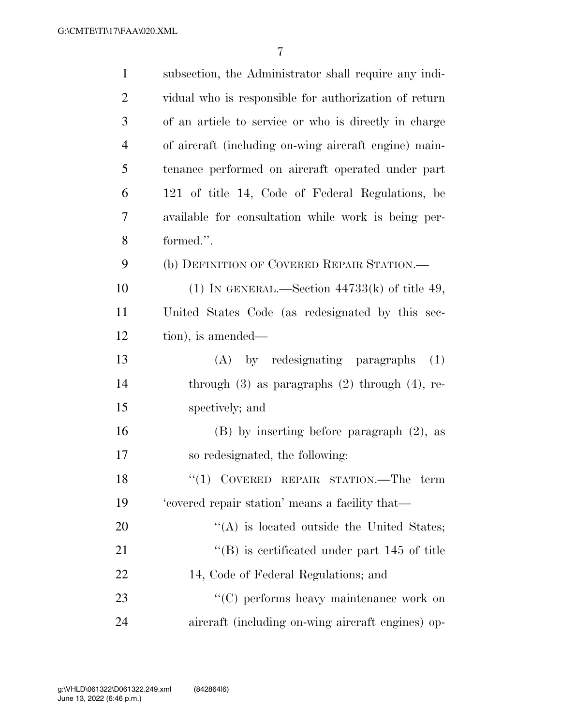| $\mathbf{1}$   | subsection, the Administrator shall require any indi-    |
|----------------|----------------------------------------------------------|
| $\overline{2}$ | vidual who is responsible for authorization of return    |
| 3              | of an article to service or who is directly in charge    |
| $\overline{4}$ | of aircraft (including on-wing aircraft engine) main-    |
| 5              | tenance performed on aircraft operated under part        |
| 6              | 121 of title 14, Code of Federal Regulations, be         |
| 7              | available for consultation while work is being per-      |
| 8              | formed.".                                                |
| 9              | (b) DEFINITION OF COVERED REPAIR STATION.—               |
| 10             | (1) IN GENERAL.—Section $44733(k)$ of title 49,          |
| 11             | United States Code (as redesignated by this sec-         |
| 12             | tion), is amended—                                       |
| 13             | (A) by redesignating paragraphs<br>(1)                   |
| 14             | through $(3)$ as paragraphs $(2)$ through $(4)$ , re-    |
| 15             | spectively; and                                          |
| 16             | $(B)$ by inserting before paragraph $(2)$ , as           |
| 17             | so redesignated, the following:                          |
| 18             | "(1) COVERED REPAIR STATION.—The term                    |
| 19             | 'covered repair station' means a facility that-          |
| 20             | $\lq\lq$ is located outside the United States;           |
| 21             | $\mathrm{``(B)}$ is certificated under part 145 of title |
| 22             | 14, Code of Federal Regulations; and                     |
| 23             | $\lq\lq$ (C) performs heavy maintenance work on          |
| 24             | aircraft (including on-wing aircraft engines) op-        |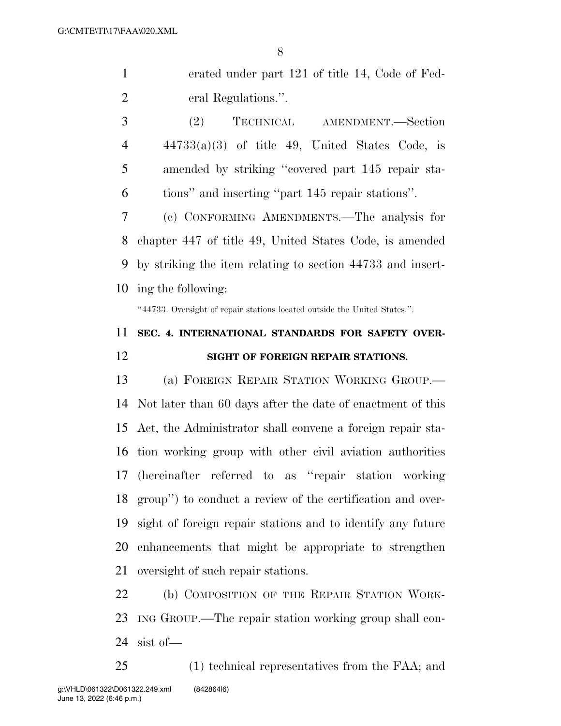erated under part 121 of title 14, Code of Fed-eral Regulations.''.

 (2) TECHNICAL AMENDMENT.—Section  $4 \times 44733(a)(3)$  of title 49, United States Code, is amended by striking ''covered part 145 repair sta-tions'' and inserting ''part 145 repair stations''.

 (c) CONFORMING AMENDMENTS.—The analysis for chapter 447 of title 49, United States Code, is amended by striking the item relating to section 44733 and insert-ing the following:

''44733. Oversight of repair stations located outside the United States.''.

## **SEC. 4. INTERNATIONAL STANDARDS FOR SAFETY OVER-SIGHT OF FOREIGN REPAIR STATIONS.**

 (a) FOREIGN REPAIR STATION WORKING GROUP.— Not later than 60 days after the date of enactment of this Act, the Administrator shall convene a foreign repair sta- tion working group with other civil aviation authorities (hereinafter referred to as ''repair station working group'') to conduct a review of the certification and over- sight of foreign repair stations and to identify any future enhancements that might be appropriate to strengthen oversight of such repair stations.

 (b) COMPOSITION OF THE REPAIR STATION WORK- ING GROUP.—The repair station working group shall con-sist of—

 (1) technical representatives from the FAA; and June 13, 2022 (6:46 p.m.) g:\VHLD\061322\D061322.249.xml (842864|6)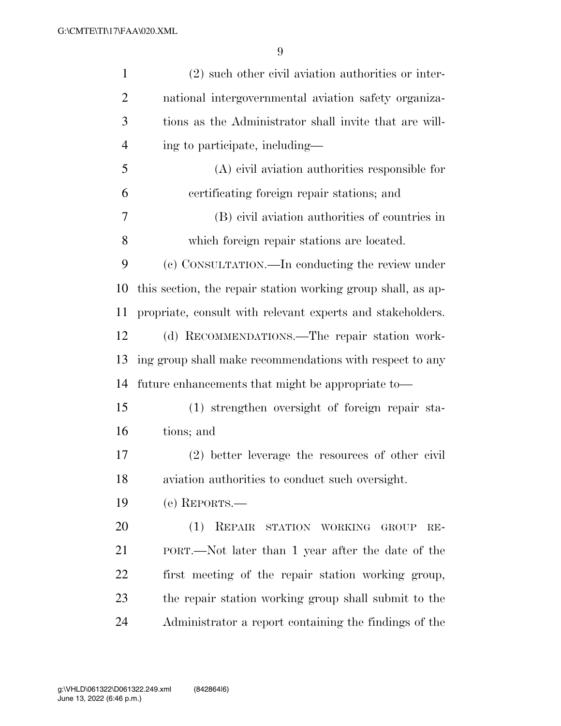| $\mathbf{1}$   | $(2)$ such other civil aviation authorities or inter-        |
|----------------|--------------------------------------------------------------|
| $\overline{2}$ | national intergovernmental aviation safety organiza-         |
| 3              | tions as the Administrator shall invite that are will-       |
| $\overline{4}$ | ing to participate, including—                               |
| 5              | $(A)$ civil aviation authorities responsible for             |
| 6              | certificating foreign repair stations; and                   |
| $\overline{7}$ | (B) civil aviation authorities of countries in               |
| 8              | which foreign repair stations are located.                   |
| 9              | (c) CONSULTATION.—In conducting the review under             |
| 10             | this section, the repair station working group shall, as ap- |
| 11             | propriate, consult with relevant experts and stakeholders.   |
| 12             | (d) RECOMMENDATIONS.—The repair station work-                |
| 13             | ing group shall make recommendations with respect to any     |
| 14             | future enhancements that might be appropriate to-            |
| 15             | (1) strengthen oversight of foreign repair sta-              |
| 16             | tions; and                                                   |
| 17             | (2) better leverage the resources of other civil             |
| 18             | aviation authorities to conduct such oversight.              |
| 19             | $(e)$ REPORTS.—                                              |
| 20             | (1)<br>REPAIR<br>STATION WORKING<br><b>GROUP</b><br>$RE-$    |
| 21             | PORT.—Not later than 1 year after the date of the            |
| 22             | first meeting of the repair station working group,           |
| 23             | the repair station working group shall submit to the         |
| 24             | Administrator a report containing the findings of the        |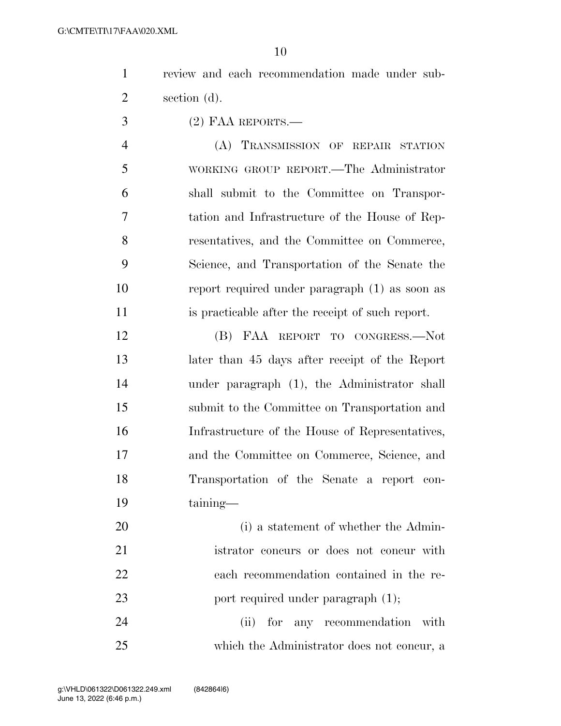|   |              |  | review and each recommendation made under sub- |  |  |
|---|--------------|--|------------------------------------------------|--|--|
| 2 | section (d). |  |                                                |  |  |

(2) FAA REPORTS.—

 (A) TRANSMISSION OF REPAIR STATION WORKING GROUP REPORT.—The Administrator shall submit to the Committee on Transpor- tation and Infrastructure of the House of Rep- resentatives, and the Committee on Commerce, Science, and Transportation of the Senate the report required under paragraph (1) as soon as is practicable after the receipt of such report.

 (B) FAA REPORT TO CONGRESS.—Not later than 45 days after receipt of the Report under paragraph (1), the Administrator shall submit to the Committee on Transportation and Infrastructure of the House of Representatives, and the Committee on Commerce, Science, and Transportation of the Senate a report con-taining—

20 (i) a statement of whether the Admin- istrator concurs or does not concur with each recommendation contained in the re-23 port required under paragraph  $(1)$ ;

24 (ii) for any recommendation with which the Administrator does not concur, a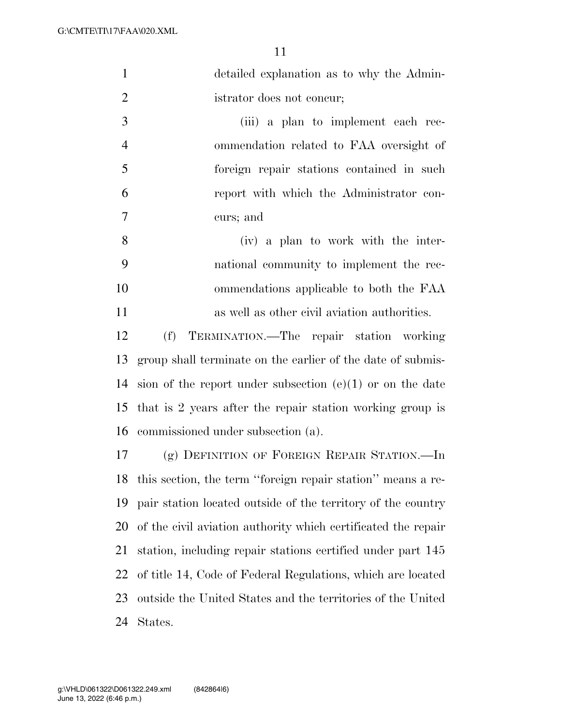|     | detailed explanation as to why the Admin- |
|-----|-------------------------------------------|
| 2   | istrator does not concur;                 |
| 3   | (iii) a plan to implement each rec-       |
|     | ommendation related to FAA oversight of   |
| - 5 | foreign repair stations contained in such |
|     | report with which the Administrator con-  |

curs; and

 (iv) a plan to work with the inter- national community to implement the rec- ommendations applicable to both the FAA as well as other civil aviation authorities.

 (f) TERMINATION.—The repair station working group shall terminate on the earlier of the date of submis- sion of the report under subsection (e)(1) or on the date that is 2 years after the repair station working group is commissioned under subsection (a).

 (g) DEFINITION OF FOREIGN REPAIR STATION.—In this section, the term ''foreign repair station'' means a re- pair station located outside of the territory of the country of the civil aviation authority which certificated the repair station, including repair stations certified under part 145 of title 14, Code of Federal Regulations, which are located outside the United States and the territories of the United States.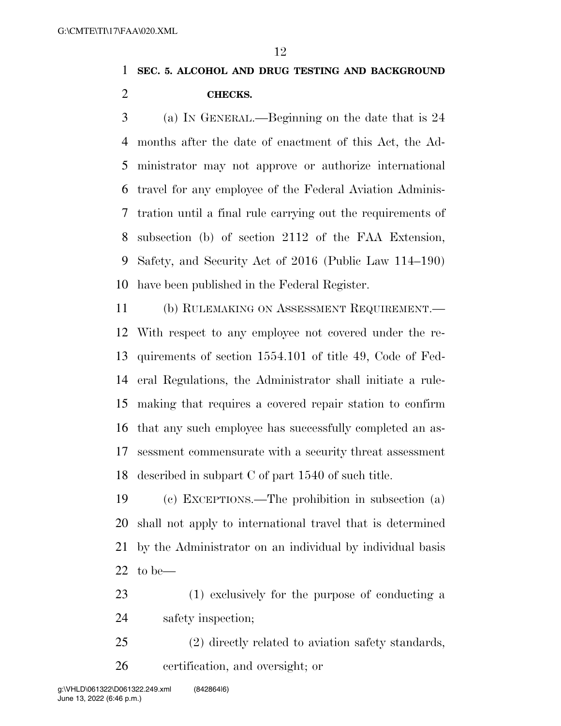## **SEC. 5. ALCOHOL AND DRUG TESTING AND BACKGROUND CHECKS.**

 (a) IN GENERAL.—Beginning on the date that is 24 months after the date of enactment of this Act, the Ad- ministrator may not approve or authorize international travel for any employee of the Federal Aviation Adminis- tration until a final rule carrying out the requirements of subsection (b) of section 2112 of the FAA Extension, Safety, and Security Act of 2016 (Public Law 114–190) have been published in the Federal Register.

 (b) RULEMAKING ON ASSESSMENT REQUIREMENT.— With respect to any employee not covered under the re- quirements of section 1554.101 of title 49, Code of Fed- eral Regulations, the Administrator shall initiate a rule- making that requires a covered repair station to confirm that any such employee has successfully completed an as- sessment commensurate with a security threat assessment described in subpart C of part 1540 of such title.

 (c) EXCEPTIONS.—The prohibition in subsection (a) shall not apply to international travel that is determined by the Administrator on an individual by individual basis to be—

- (1) exclusively for the purpose of conducting a safety inspection;
- (2) directly related to aviation safety standards, certification, and oversight; or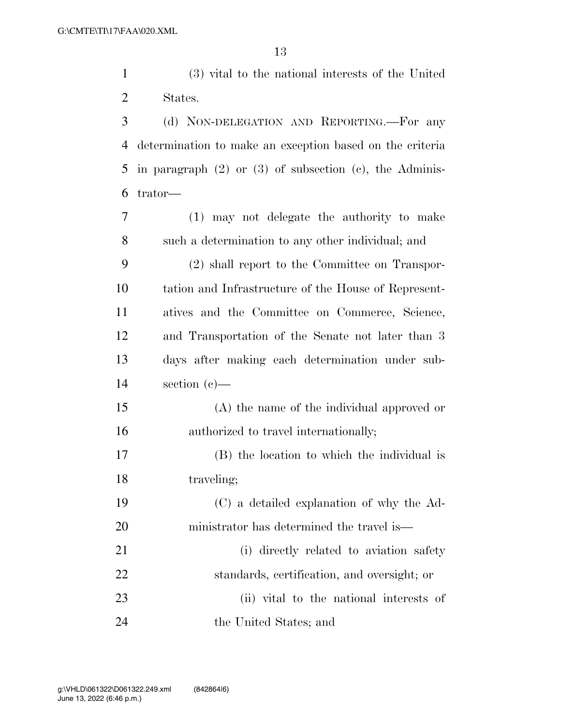(3) vital to the national interests of the United States. (d) NON-DELEGATION AND REPORTING.—For any determination to make an exception based on the criteria in paragraph (2) or (3) of subsection (c), the Adminis- trator— (1) may not delegate the authority to make such a determination to any other individual; and

 (2) shall report to the Committee on Transpor- tation and Infrastructure of the House of Represent- atives and the Committee on Commerce, Science, and Transportation of the Senate not later than 3 days after making each determination under sub-section (c)—

 (A) the name of the individual approved or 16 authorized to travel internationally;

 (B) the location to which the individual is 18 traveling;

 (C) a detailed explanation of why the Ad-ministrator has determined the travel is—

21 (i) directly related to aviation safety standards, certification, and oversight; or (ii) vital to the national interests of the United States; and